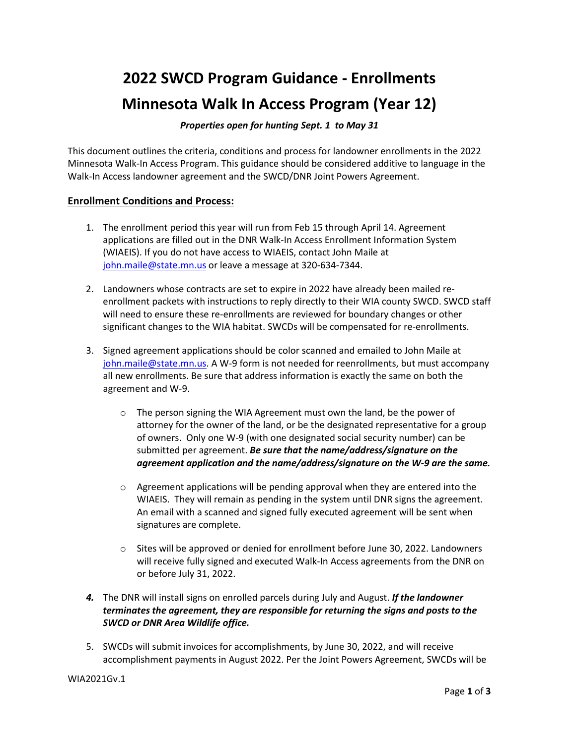# **2022 SWCD Program Guidance - Enrollments Minnesota Walk In Access Program (Year 12)**

## *Properties open for hunting Sept. 1 to May 31*

This document outlines the criteria, conditions and process for landowner enrollments in the 2022 Minnesota Walk-In Access Program. This guidance should be considered additive to language in the Walk-In Access landowner agreement and the SWCD/DNR Joint Powers Agreement.

## **Enrollment Conditions and Process:**

- 1. The enrollment period this year will run from Feb 15 through April 14. Agreement applications are filled out in the DNR Walk-In Access Enrollment Information System (WIAEIS). If you do not have access to WIAEIS, contact John Maile at [john.maile@state.mn.us](mailto:troy.dale@state.mn.us) or leave a message at 320-634-7344.
- 2. Landowners whose contracts are set to expire in 2022 have already been mailed reenrollment packets with instructions to reply directly to their WIA county SWCD. SWCD staff will need to ensure these re-enrollments are reviewed for boundary changes or other significant changes to the WIA habitat. SWCDs will be compensated for re-enrollments.
- 3. Signed agreement applications should be color scanned and emailed to John Maile at [john.maile@state.mn.us.](mailto:troy.dale@state.mn.us) A W-9 form is not needed for reenrollments, but must accompany all new enrollments. Be sure that address information is exactly the same on both the agreement and W-9.
	- o The person signing the WIA Agreement must own the land, be the power of attorney for the owner of the land, or be the designated representative for a group of owners. Only one W-9 (with one designated social security number) can be submitted per agreement. *Be sure that the name/address/signature on the agreement application and the name/address/signature on the W-9 are the same.*
	- $\circ$  Agreement applications will be pending approval when they are entered into the WIAEIS. They will remain as pending in the system until DNR signs the agreement. An email with a scanned and signed fully executed agreement will be sent when signatures are complete.
	- $\circ$  Sites will be approved or denied for enrollment before June 30, 2022. Landowners will receive fully signed and executed Walk-In Access agreements from the DNR on or before July 31, 2022.
- *4.* The DNR will install signs on enrolled parcels during July and August. *If the landowner terminates the agreement, they are responsible for returning the signs and posts to the SWCD or DNR Area Wildlife office.*
- 5. SWCDs will submit invoices for accomplishments, by June 30, 2022, and will receive accomplishment payments in August 2022. Per the Joint Powers Agreement, SWCDs will be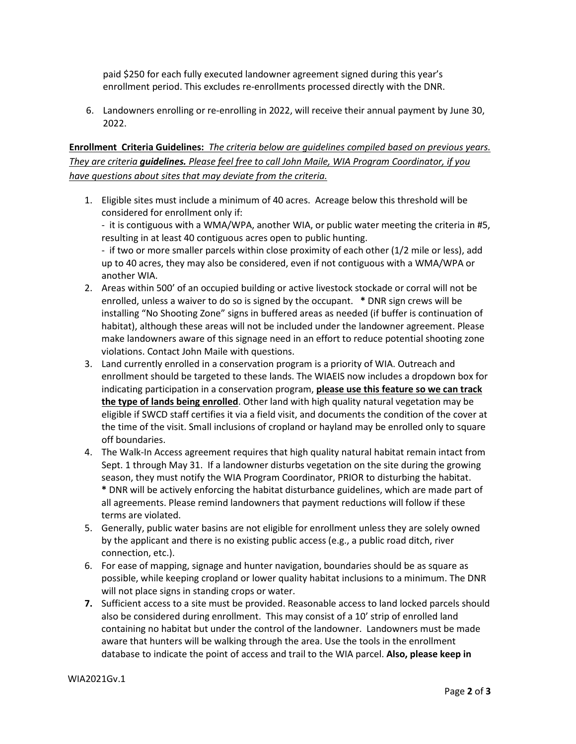paid \$250 for each fully executed landowner agreement signed during this year's enrollment period. This excludes re-enrollments processed directly with the DNR.

6. Landowners enrolling or re-enrolling in 2022, will receive their annual payment by June 30, 2022.

# **Enrollment Criteria Guidelines:** *The criteria below are guidelines compiled based on previous years. They are criteria guidelines. Please feel free to call John Maile, WIA Program Coordinator, if you have questions about sites that may deviate from the criteria.*

1. Eligible sites must include a minimum of 40 acres. Acreage below this threshold will be considered for enrollment only if:

- it is contiguous with a WMA/WPA, another WIA, or public water meeting the criteria in #5, resulting in at least 40 contiguous acres open to public hunting.

- if two or more smaller parcels within close proximity of each other (1/2 mile or less), add up to 40 acres, they may also be considered, even if not contiguous with a WMA/WPA or another WIA.

- 2. Areas within 500' of an occupied building or active livestock stockade or corral will not be enrolled, unless a waiver to do so is signed by the occupant. **\*** DNR sign crews will be installing "No Shooting Zone" signs in buffered areas as needed (if buffer is continuation of habitat), although these areas will not be included under the landowner agreement. Please make landowners aware of this signage need in an effort to reduce potential shooting zone violations. Contact John Maile with questions.
- 3. Land currently enrolled in a conservation program is a priority of WIA. Outreach and enrollment should be targeted to these lands. The WIAEIS now includes a dropdown box for indicating participation in a conservation program, **please use this feature so we can track the type of lands being enrolled**. Other land with high quality natural vegetation may be eligible if SWCD staff certifies it via a field visit, and documents the condition of the cover at the time of the visit. Small inclusions of cropland or hayland may be enrolled only to square off boundaries.
- 4. The Walk-In Access agreement requires that high quality natural habitat remain intact from Sept. 1 through May 31. If a landowner disturbs vegetation on the site during the growing season, they must notify the WIA Program Coordinator, PRIOR to disturbing the habitat. **\*** DNR will be actively enforcing the habitat disturbance guidelines, which are made part of all agreements. Please remind landowners that payment reductions will follow if these terms are violated.
- 5. Generally, public water basins are not eligible for enrollment unless they are solely owned by the applicant and there is no existing public access (e.g., a public road ditch, river connection, etc.).
- 6. For ease of mapping, signage and hunter navigation, boundaries should be as square as possible, while keeping cropland or lower quality habitat inclusions to a minimum. The DNR will not place signs in standing crops or water.
- **7.** Sufficient access to a site must be provided. Reasonable access to land locked parcels should also be considered during enrollment. This may consist of a 10' strip of enrolled land containing no habitat but under the control of the landowner. Landowners must be made aware that hunters will be walking through the area. Use the tools in the enrollment database to indicate the point of access and trail to the WIA parcel. **Also, please keep in**